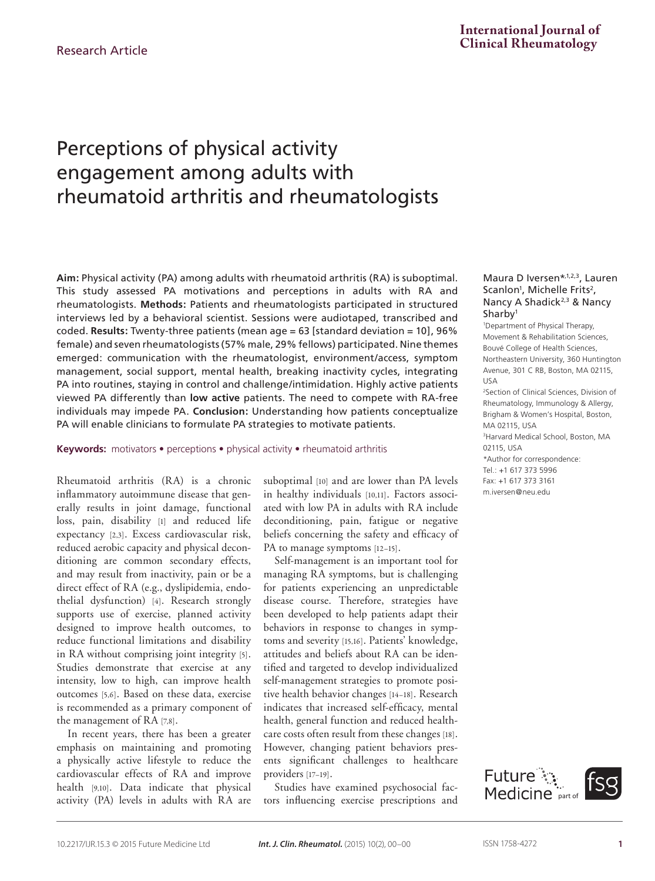# Perceptions of physical activity engagement among adults with rheumatoid arthritis and rheumatologists

**Aim:** Physical activity (PA) among adults with rheumatoid arthritis (RA) is suboptimal. This study assessed PA motivations and perceptions in adults with RA and rheumatologists. **Methods:** Patients and rheumatologists participated in structured interviews led by a behavioral scientist. Sessions were audiotaped, transcribed and coded. **Results:** Twenty-three patients (mean age = 63 [standard deviation = 10], 96% female) and seven rheumatologists (57% male, 29% fellows) participated. Nine themes emerged: communication with the rheumatologist, environment/access, symptom management, social support, mental health, breaking inactivity cycles, integrating PA into routines, staying in control and challenge/intimidation. Highly active patients viewed PA differently than **low active** patients. The need to compete with RA-free individuals may impede PA. **Conclusion:** Understanding how patients conceptualize PA will enable clinicians to formulate PA strategies to motivate patients.

## **Keywords:** motivators • perceptions • physical activity • rheumatoid arthritis

Rheumatoid arthritis (RA) is a chronic inflammatory autoimmune disease that generally results in joint damage, functional loss, pain, disability [1] and reduced life expectancy [2,3]. Excess cardiovascular risk, reduced aerobic capacity and physical deconditioning are common secondary effects, and may result from inactivity, pain or be a direct effect of RA (e.g., dyslipidemia, endothelial dysfunction) [4]. Research strongly supports use of exercise, planned activity designed to improve health outcomes, to reduce functional limitations and disability in RA without comprising joint integrity [5]. Studies demonstrate that exercise at any intensity, low to high, can improve health outcomes [5,6]. Based on these data, exercise is recommended as a primary component of the management of RA [7,8].

In recent years, there has been a greater emphasis on maintaining and promoting a physically active lifestyle to reduce the cardiovascular effects of RA and improve health [9,10]. Data indicate that physical activity (PA) levels in adults with RA are suboptimal [10] and are lower than PA levels in healthy individuals [10,11]. Factors associated with low PA in adults with RA include deconditioning, pain, fatigue or negative beliefs concerning the safety and efficacy of PA to manage symptoms [12-15].

Self-management is an important tool for managing RA symptoms, but is challenging for patients experiencing an unpredictable disease course. Therefore, strategies have been developed to help patients adapt their behaviors in response to changes in symptoms and severity [15,16]. Patients' knowledge, attitudes and beliefs about RA can be identified and targeted to develop individualized self-management strategies to promote positive health behavior changes [14–18]. Research indicates that increased self-efficacy, mental health, general function and reduced healthcare costs often result from these changes [18]. However, changing patient behaviors presents significant challenges to healthcare providers [17–19].

Studies have examined psychosocial factors influencing exercise prescriptions and

# Maura D Iversen\*,1,2,3, Lauren Scanlon<sup>1</sup>, Michelle Frits<sup>2</sup>, Nancy A Shadick<sup>2,3</sup> & Nancy Sharby1

1 Department of Physical Therapy, Movement & Rehabilitation Sciences, Bouvé College of Health Sciences, Northeastern University, 360 Huntington Avenue, 301 C RB, Boston, MA 02115, USA 2 Section of Clinical Sciences, Division of Rheumatology, Immunology & Allergy, Brigham & Women's Hospital, Boston, MA 02115, USA 3Harvard Medical School, Boston, MA 02115, USA \*Author for correspondence:

Tel.: +1 617 373 5996 Fax: +1 617 373 3161 m.iversen@neu.edu

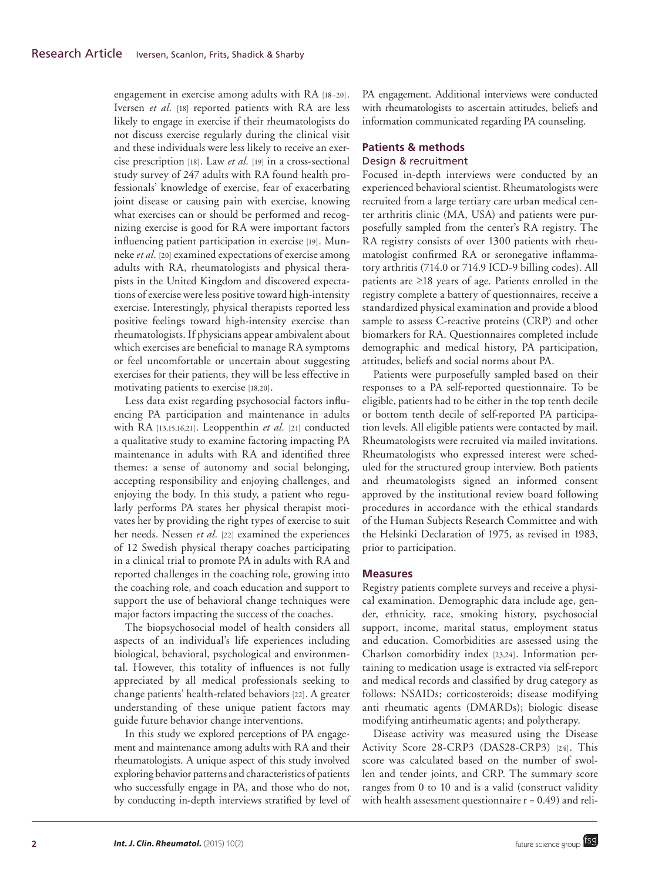engagement in exercise among adults with RA [18–20]. Iversen *et al.* [18] reported patients with RA are less likely to engage in exercise if their rheumatologists do not discuss exercise regularly during the clinical visit and these individuals were less likely to receive an exercise prescription [18]. Law *et al.* [19] in a cross-sectional study survey of 247 adults with RA found health professionals' knowledge of exercise, fear of exacerbating joint disease or causing pain with exercise, knowing what exercises can or should be performed and recognizing exercise is good for RA were important factors influencing patient participation in exercise [19]. Munneke *et al.* [20] examined expectations of exercise among adults with RA, rheumatologists and physical therapists in the United Kingdom and discovered expectations of exercise were less positive toward high-intensity exercise. Interestingly, physical therapists reported less positive feelings toward high-intensity exercise than rheumatologists. If physicians appear ambivalent about which exercises are beneficial to manage RA symptoms or feel uncomfortable or uncertain about suggesting exercises for their patients, they will be less effective in motivating patients to exercise [18,20].

Less data exist regarding psychosocial factors influencing PA participation and maintenance in adults with RA [13,15,16,21]. Leoppenthin *et al.* [21] conducted a qualitative study to examine factoring impacting PA maintenance in adults with RA and identified three themes: a sense of autonomy and social belonging, accepting responsibility and enjoying challenges, and enjoying the body. In this study, a patient who regularly performs PA states her physical therapist motivates her by providing the right types of exercise to suit her needs. Nessen *et al.* [22] examined the experiences of 12 Swedish physical therapy coaches participating in a clinical trial to promote PA in adults with RA and reported challenges in the coaching role, growing into the coaching role, and coach education and support to support the use of behavioral change techniques were major factors impacting the success of the coaches.

The biopsychosocial model of health considers all aspects of an individual's life experiences including biological, behavioral, psychological and environmental. However, this totality of influences is not fully appreciated by all medical professionals seeking to change patients' health-related behaviors [22]. A greater understanding of these unique patient factors may guide future behavior change interventions.

In this study we explored perceptions of PA engagement and maintenance among adults with RA and their rheumatologists. A unique aspect of this study involved exploring behavior patterns and characteristics of patients who successfully engage in PA, and those who do not, by conducting in-depth interviews stratified by level of PA engagement. Additional interviews were conducted with rheumatologists to ascertain attitudes, beliefs and information communicated regarding PA counseling.

# **Patients & methods**  Design & recruitment

Focused in-depth interviews were conducted by an experienced behavioral scientist. Rheumatologists were recruited from a large tertiary care urban medical center arthritis clinic (MA, USA) and patients were purposefully sampled from the center's RA registry. The RA registry consists of over 1300 patients with rheumatologist confirmed RA or seronegative inflammatory arthritis (714.0 or 714.9 ICD-9 billing codes). All patients are ≥18 years of age. Patients enrolled in the registry complete a battery of questionnaires, receive a standardized physical examination and provide a blood sample to assess C-reactive proteins (CRP) and other biomarkers for RA. Questionnaires completed include demographic and medical history, PA participation, attitudes, beliefs and social norms about PA.

Patients were purposefully sampled based on their responses to a PA self-reported questionnaire. To be eligible, patients had to be either in the top tenth decile or bottom tenth decile of self-reported PA participation levels. All eligible patients were contacted by mail. Rheumatologists were recruited via mailed invitations. Rheumatologists who expressed interest were scheduled for the structured group interview. Both patients and rheumatologists signed an informed consent approved by the institutional review board following procedures in accordance with the ethical standards of the Human Subjects Research Committee and with the Helsinki Declaration of 1975, as revised in 1983, prior to participation.

# **Measures**

Registry patients complete surveys and receive a physical examination. Demographic data include age, gender, ethnicity, race, smoking history, psychosocial support, income, marital status, employment status and education. Comorbidities are assessed using the Charlson comorbidity index [23,24]. Information pertaining to medication usage is extracted via self-report and medical records and classified by drug category as follows: NSAIDs; corticosteroids; disease modifying anti rheumatic agents (DMARDs); biologic disease modifying antirheumatic agents; and polytherapy.

Disease activity was measured using the Disease Activity Score 28-CRP3 (DAS28-CRP3) [24]. This score was calculated based on the number of swollen and tender joints, and CRP. The summary score ranges from 0 to 10 and is a valid (construct validity with health assessment questionnaire  $r = 0.49$ ) and reli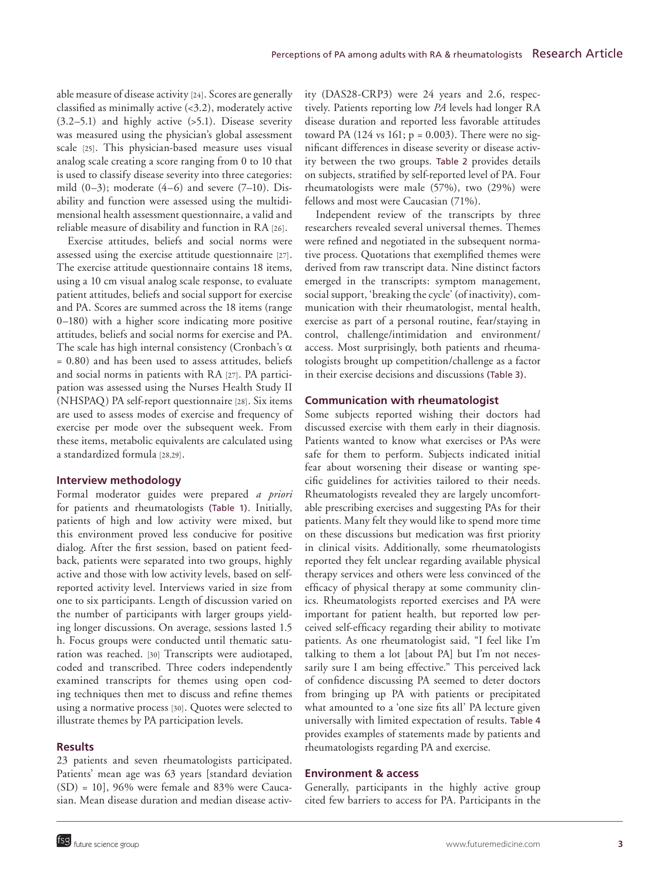able measure of disease activity [24]. Scores are generally classified as minimally active  $( $3.2$ ), moderately active$ (3.2–5.1) and highly active (>5.1). Disease severity was measured using the physician's global assessment scale [25]. This physician-based measure uses visual analog scale creating a score ranging from 0 to 10 that is used to classify disease severity into three categories: mild  $(0-3)$ ; moderate  $(4-6)$  and severe  $(7-10)$ . Disability and function were assessed using the multidimensional health assessment questionnaire, a valid and reliable measure of disability and function in RA [26].

Exercise attitudes, beliefs and social norms were assessed using the exercise attitude questionnaire [27]. The exercise attitude questionnaire contains 18 items, using a 10 cm visual analog scale response, to evaluate patient attitudes, beliefs and social support for exercise and PA. Scores are summed across the 18 items (range 0–180) with a higher score indicating more positive attitudes, beliefs and social norms for exercise and PA. The scale has high internal consistency (Cronbach's  $\alpha$ = 0.80) and has been used to assess attitudes, beliefs and social norms in patients with RA [27]. PA participation was assessed using the Nurses Health Study II (NHSPAQ) PA self-report questionnaire [28]. Six items are used to assess modes of exercise and frequency of exercise per mode over the subsequent week. From these items, metabolic equivalents are calculated using a standardized formula [28,29].

# **Interview methodology**

Formal moderator guides were prepared *a priori* for patients and rheumatologists (Table 1). Initially, patients of high and low activity were mixed, but this environment proved less conducive for positive dialog. After the first session, based on patient feedback, patients were separated into two groups, highly active and those with low activity levels, based on selfreported activity level. Interviews varied in size from one to six participants. Length of discussion varied on the number of participants with larger groups yielding longer discussions. On average, sessions lasted 1.5 h. Focus groups were conducted until thematic saturation was reached. [30] Transcripts were audiotaped, coded and transcribed. Three coders independently examined transcripts for themes using open coding techniques then met to discuss and refine themes using a normative process [30]. Quotes were selected to illustrate themes by PA participation levels.

# **Results**

23 patients and seven rheumatologists participated. Patients' mean age was 63 years [standard deviation  $(SD) = 10$ , 96% were female and 83% were Caucasian. Mean disease duration and median disease activity (DAS28-CRP3) were 24 years and 2.6, respectively. Patients reporting low *PA* levels had longer RA disease duration and reported less favorable attitudes toward PA (124 vs 161;  $p = 0.003$ ). There were no significant differences in disease severity or disease activity between the two groups. Table 2 provides details on subjects, stratified by self-reported level of PA. Four rheumatologists were male (57%), two (29%) were fellows and most were Caucasian (71%).

Independent review of the transcripts by three researchers revealed several universal themes. Themes were refined and negotiated in the subsequent normative process. Quotations that exemplified themes were derived from raw transcript data. Nine distinct factors emerged in the transcripts: symptom management, social support, 'breaking the cycle' (of inactivity), communication with their rheumatologist, mental health, exercise as part of a personal routine, fear/staying in control, challenge/intimidation and environment/ access. Most surprisingly, both patients and rheumatologists brought up competition/challenge as a factor in their exercise decisions and discussions (Table 3).

# **Communication with rheumatologist**

Some subjects reported wishing their doctors had discussed exercise with them early in their diagnosis. Patients wanted to know what exercises or PAs were safe for them to perform. Subjects indicated initial fear about worsening their disease or wanting specific guidelines for activities tailored to their needs. Rheumatologists revealed they are largely uncomfortable prescribing exercises and suggesting PAs for their patients. Many felt they would like to spend more time on these discussions but medication was first priority in clinical visits. Additionally, some rheumatologists reported they felt unclear regarding available physical therapy services and others were less convinced of the efficacy of physical therapy at some community clinics. Rheumatologists reported exercises and PA were important for patient health, but reported low perceived self-efficacy regarding their ability to motivate patients. As one rheumatologist said, "I feel like I'm talking to them a lot [about PA] but I'm not necessarily sure I am being effective." This perceived lack of confidence discussing PA seemed to deter doctors from bringing up PA with patients or precipitated what amounted to a 'one size fits all' PA lecture given universally with limited expectation of results. Table 4 provides examples of statements made by patients and rheumatologists regarding PA and exercise.

# **Environment & access**

Generally, participants in the highly active group cited few barriers to access for PA. Participants in the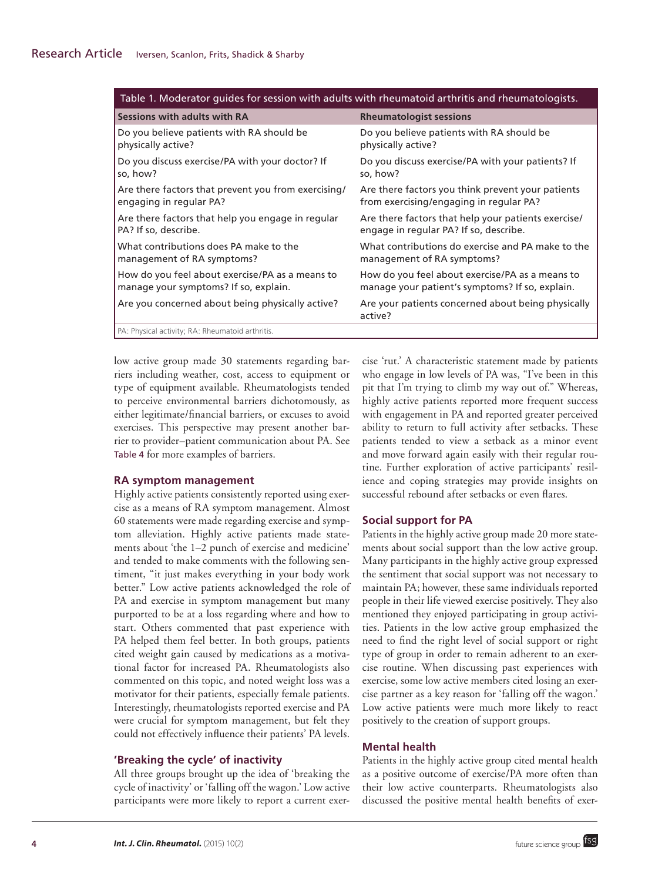|  | Table 1. Moderator guides for session with adults with rheumatoid arthritis and rheumatologists. |  |
|--|--------------------------------------------------------------------------------------------------|--|
|  |                                                                                                  |  |

| <b>Sessions with adults with RA</b>                 | <b>Rheumatologist sessions</b>                                |
|-----------------------------------------------------|---------------------------------------------------------------|
| Do you believe patients with RA should be           | Do you believe patients with RA should be                     |
| physically active?                                  | physically active?                                            |
| Do you discuss exercise/PA with your doctor? If     | Do you discuss exercise/PA with your patients? If             |
| so, how?                                            | so, how?                                                      |
| Are there factors that prevent you from exercising/ | Are there factors you think prevent your patients             |
| engaging in regular PA?                             | from exercising/engaging in regular PA?                       |
| Are there factors that help you engage in regular   | Are there factors that help your patients exercise/           |
| PA? If so, describe.                                | engage in regular PA? If so, describe.                        |
| What contributions does PA make to the              | What contributions do exercise and PA make to the             |
| management of RA symptoms?                          | management of RA symptoms?                                    |
| How do you feel about exercise/PA as a means to     | How do you feel about exercise/PA as a means to               |
| manage your symptoms? If so, explain.               | manage your patient's symptoms? If so, explain.               |
| Are you concerned about being physically active?    | Are your patients concerned about being physically<br>active? |
| PA: Physical activity; RA: Rheumatoid arthritis.    |                                                               |

low active group made 30 statements regarding barriers including weather, cost, access to equipment or type of equipment available. Rheumatologists tended to perceive environmental barriers dichotomously, as either legitimate/financial barriers, or excuses to avoid exercises. This perspective may present another barrier to provider–patient communication about PA. See Table 4 for more examples of barriers.

# **RA symptom management**

Highly active patients consistently reported using exercise as a means of RA symptom management. Almost 60 statements were made regarding exercise and symptom alleviation. Highly active patients made statements about 'the 1–2 punch of exercise and medicine' and tended to make comments with the following sentiment, "it just makes everything in your body work better." Low active patients acknowledged the role of PA and exercise in symptom management but many purported to be at a loss regarding where and how to start. Others commented that past experience with PA helped them feel better. In both groups, patients cited weight gain caused by medications as a motivational factor for increased PA. Rheumatologists also commented on this topic, and noted weight loss was a motivator for their patients, especially female patients. Interestingly, rheumatologists reported exercise and PA were crucial for symptom management, but felt they could not effectively influence their patients' PA levels.

# **'Breaking the cycle' of inactivity**

All three groups brought up the idea of 'breaking the cycle of inactivity' or 'falling off the wagon.' Low active participants were more likely to report a current exercise 'rut.' A characteristic statement made by patients who engage in low levels of PA was, "I've been in this pit that I'm trying to climb my way out of." Whereas, highly active patients reported more frequent success with engagement in PA and reported greater perceived ability to return to full activity after setbacks. These patients tended to view a setback as a minor event and move forward again easily with their regular routine. Further exploration of active participants' resilience and coping strategies may provide insights on successful rebound after setbacks or even flares.

# **Social support for PA**

Patients in the highly active group made 20 more statements about social support than the low active group. Many participants in the highly active group expressed the sentiment that social support was not necessary to maintain PA; however, these same individuals reported people in their life viewed exercise positively. They also mentioned they enjoyed participating in group activities. Patients in the low active group emphasized the need to find the right level of social support or right type of group in order to remain adherent to an exercise routine. When discussing past experiences with exercise, some low active members cited losing an exercise partner as a key reason for 'falling off the wagon.' Low active patients were much more likely to react positively to the creation of support groups.

# **Mental health**

Patients in the highly active group cited mental health as a positive outcome of exercise/PA more often than their low active counterparts. Rheumatologists also discussed the positive mental health benefits of exer-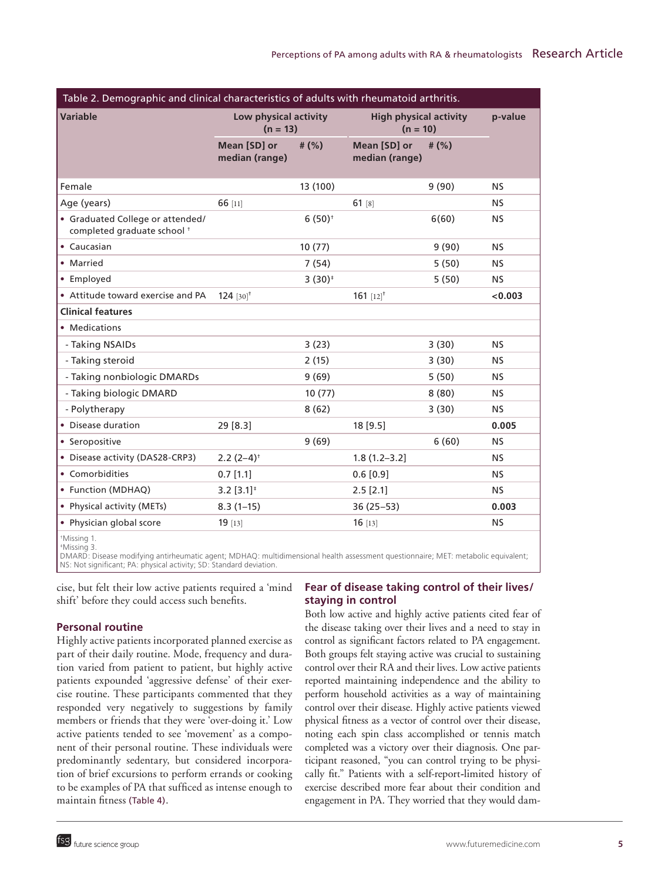| Table 2. Demographic and clinical characteristics of adults with rheumatoid arthritis. |                                         |                    |                                             |          |           |
|----------------------------------------------------------------------------------------|-----------------------------------------|--------------------|---------------------------------------------|----------|-----------|
| <b>Variable</b>                                                                        | Low physical activity<br>$(n = 13)$     |                    | <b>High physical activity</b><br>$(n = 10)$ |          | p-value   |
|                                                                                        | Mean [SD] or<br>median (range)          | # $(%)$            | Mean [SD] or<br>median (range)              | # $(% )$ |           |
| Female                                                                                 |                                         | 13 (100)           |                                             | 9(90)    | NS.       |
| Age (years)                                                                            | 66 [11]                                 |                    | 61[8]                                       |          | <b>NS</b> |
| • Graduated College or attended/<br>completed graduate school +                        |                                         | $6(50)^+$          |                                             | 6(60)    | <b>NS</b> |
| • Caucasian                                                                            |                                         | 10(77)             |                                             | 9(90)    | NS        |
| • Married                                                                              |                                         | 7(54)              |                                             | 5(50)    | <b>NS</b> |
| • Employed                                                                             |                                         | $3(30)^{\ddagger}$ |                                             | 5(50)    | <b>NS</b> |
| • Attitude toward exercise and PA                                                      | 124 $[30]$ <sup>†</sup>                 |                    | 161 $[12]$ <sup>†</sup>                     |          | < 0.003   |
| <b>Clinical features</b>                                                               |                                         |                    |                                             |          |           |
| • Medications                                                                          |                                         |                    |                                             |          |           |
| - Taking NSAIDs                                                                        |                                         | 3(23)              |                                             | 3(30)    | <b>NS</b> |
| - Taking steroid                                                                       |                                         | 2(15)              |                                             | 3(30)    | <b>NS</b> |
| - Taking nonbiologic DMARDs                                                            |                                         | 9(69)              |                                             | 5(50)    | NS.       |
| - Taking biologic DMARD                                                                |                                         | 10(77)             |                                             | 8(80)    | <b>NS</b> |
| - Polytherapy                                                                          |                                         | 8(62)              |                                             | 3(30)    | <b>NS</b> |
| • Disease duration                                                                     | 29 [8.3]                                |                    | 18 [9.5]                                    |          | 0.005     |
| • Seropositive                                                                         |                                         | 9(69)              |                                             | 6(60)    | <b>NS</b> |
| • Disease activity (DAS28-CRP3)                                                        | $2.2 (2-4)^+$                           |                    | $1.8(1.2 - 3.2)$                            |          | NS.       |
| • Comorbidities                                                                        | $0.7$ [1.1]                             |                    | $0.6$ [0.9]                                 |          | NS.       |
| • Function (MDHAQ)                                                                     | $3.2$ [3.1] <sup><math>\pm</math></sup> |                    | $2.5$ [ $2.1$ ]                             |          | <b>NS</b> |
| • Physical activity (METs)                                                             | $8.3(1-15)$                             |                    | $36(25-53)$                                 |          | 0.003     |
| • Physician global score                                                               | $19$ [13]                               |                    | $16$ [13]                                   |          | <b>NS</b> |
| *Missing 1.                                                                            |                                         |                    |                                             |          |           |

‡Missing 3.

DMARD: Disease modifying antirheumatic agent; MDHAQ: multidimensional health assessment questionnaire; MET: metabolic equivalent; NS: Not significant; PA: physical activity; SD: Standard deviation.

cise, but felt their low active patients required a 'mind shift' before they could access such benefits.

# **Personal routine**

Highly active patients incorporated planned exercise as part of their daily routine. Mode, frequency and duration varied from patient to patient, but highly active patients expounded 'aggressive defense' of their exercise routine. These participants commented that they responded very negatively to suggestions by family members or friends that they were 'over-doing it.' Low active patients tended to see 'movement' as a component of their personal routine. These individuals were predominantly sedentary, but considered incorporation of brief excursions to perform errands or cooking to be examples of PA that sufficed as intense enough to maintain fitness (Table 4).

# **Fear of disease taking control of their lives/ staying in control**

Both low active and highly active patients cited fear of the disease taking over their lives and a need to stay in control as significant factors related to PA engagement. Both groups felt staying active was crucial to sustaining control over their RA and their lives. Low active patients reported maintaining independence and the ability to perform household activities as a way of maintaining control over their disease. Highly active patients viewed physical fitness as a vector of control over their disease, noting each spin class accomplished or tennis match completed was a victory over their diagnosis. One participant reasoned, "you can control trying to be physically fit." Patients with a self-report*-*limited history of exercise described more fear about their condition and engagement in PA. They worried that they would dam-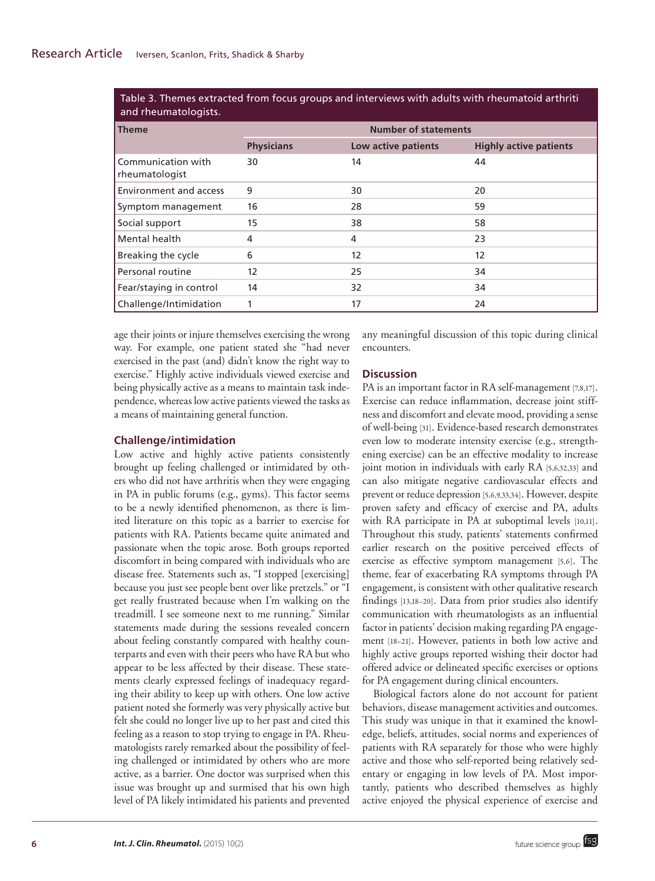| Table 3. Themes extracted from focus groups and interviews with adults with rheumatoid arthriti |
|-------------------------------------------------------------------------------------------------|
| and rheumatologists.                                                                            |

| ana meannatoiogists.                 |                             |                     |                               |  |
|--------------------------------------|-----------------------------|---------------------|-------------------------------|--|
| <b>Theme</b>                         | <b>Number of statements</b> |                     |                               |  |
|                                      | <b>Physicians</b>           | Low active patients | <b>Highly active patients</b> |  |
| Communication with<br>rheumatologist | 30                          | 14                  | 44                            |  |
| Environment and access               | 9                           | 30                  | 20                            |  |
| Symptom management                   | 16                          | 28                  | 59                            |  |
| Social support                       | 15                          | 38                  | 58                            |  |
| Mental health                        | 4                           | 4                   | 23                            |  |
| Breaking the cycle                   | 6                           | 12                  | 12                            |  |
| Personal routine                     | 12                          | 25                  | 34                            |  |
| Fear/staying in control              | 14                          | 32                  | 34                            |  |
| Challenge/Intimidation               | 1                           | 17                  | 24                            |  |

age their joints or injure themselves exercising the wrong way. For example, one patient stated she "had never exercised in the past (and) didn't know the right way to exercise." Highly active individuals viewed exercise and being physically active as a means to maintain task independence, whereas low active patients viewed the tasks as a means of maintaining general function.

# **Challenge/intimidation**

Low active and highly active patients consistently brought up feeling challenged or intimidated by others who did not have arthritis when they were engaging in PA in public forums (e.g., gyms). This factor seems to be a newly identified phenomenon, as there is limited literature on this topic as a barrier to exercise for patients with RA. Patients became quite animated and passionate when the topic arose. Both groups reported discomfort in being compared with individuals who are disease free. Statements such as, "I stopped [exercising] because you just see people bent over like pretzels." or "I get really frustrated because when I'm walking on the treadmill. I see someone next to me running." Similar statements made during the sessions revealed concern about feeling constantly compared with healthy counterparts and even with their peers who have RA but who appear to be less affected by their disease. These statements clearly expressed feelings of inadequacy regarding their ability to keep up with others. One low active patient noted she formerly was very physically active but felt she could no longer live up to her past and cited this feeling as a reason to stop trying to engage in PA. Rheumatologists rarely remarked about the possibility of feeling challenged or intimidated by others who are more active, as a barrier. One doctor was surprised when this issue was brought up and surmised that his own high level of PA likely intimidated his patients and prevented

any meaningful discussion of this topic during clinical encounters.

# **Discussion**

PA is an important factor in RA self-management [7,8,17]. Exercise can reduce inflammation, decrease joint stiffness and discomfort and elevate mood, providing a sense of well-being [31]. Evidence-based research demonstrates even low to moderate intensity exercise (e.g., strengthening exercise) can be an effective modality to increase joint motion in individuals with early RA [5,6,32,33] and can also mitigate negative cardiovascular effects and prevent or reduce depression [5,6,9,33,34]. However, despite proven safety and efficacy of exercise and PA, adults with RA participate in PA at suboptimal levels [10,11]. Throughout this study, patients' statements confirmed earlier research on the positive perceived effects of exercise as effective symptom management [5,6]. The theme, fear of exacerbating RA symptoms through PA engagement, is consistent with other qualitative research findings [13,18–20]. Data from prior studies also identify communication with rheumatologists as an influential factor in patients' decision making regarding PA engagement [18–21]. However, patients in both low active and highly active groups reported wishing their doctor had offered advice or delineated specific exercises or options for PA engagement during clinical encounters.

Biological factors alone do not account for patient behaviors, disease management activities and outcomes. This study was unique in that it examined the knowledge, beliefs, attitudes, social norms and experiences of patients with RA separately for those who were highly active and those who self-reported being relatively sedentary or engaging in low levels of PA. Most importantly, patients who described themselves as highly active enjoyed the physical experience of exercise and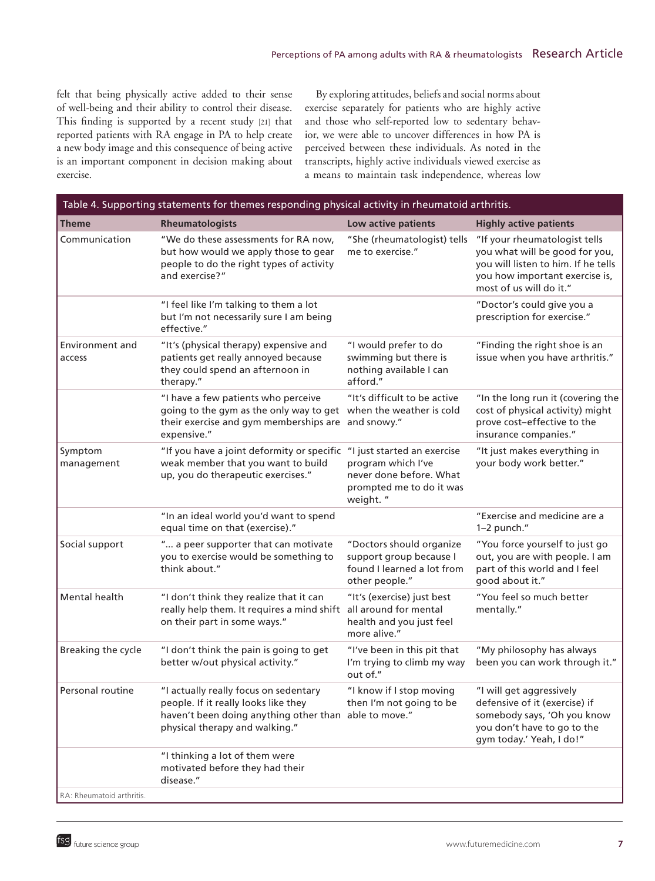felt that being physically active added to their sense of well-being and their ability to control their disease. This finding is supported by a recent study [21] that reported patients with RA engage in PA to help create a new body image and this consequence of being active is an important component in decision making about exercise.

By exploring attitudes, beliefs and social norms about exercise separately for patients who are highly active and those who self-reported low to sedentary behavior, we were able to uncover differences in how PA is perceived between these individuals. As noted in the transcripts, highly active individuals viewed exercise as a means to maintain task independence, whereas low

| Table 4. Supporting statements for themes responding physical activity in rheumatoid arthritis. |                                                                                                                                                                          |                                                                                                                       |                                                                                                                                                                     |  |
|-------------------------------------------------------------------------------------------------|--------------------------------------------------------------------------------------------------------------------------------------------------------------------------|-----------------------------------------------------------------------------------------------------------------------|---------------------------------------------------------------------------------------------------------------------------------------------------------------------|--|
| <b>Theme</b>                                                                                    | Rheumatologists                                                                                                                                                          | Low active patients                                                                                                   | <b>Highly active patients</b>                                                                                                                                       |  |
| Communication                                                                                   | "We do these assessments for RA now,<br>but how would we apply those to gear<br>people to do the right types of activity<br>and exercise?"                               | "She (rheumatologist) tells<br>me to exercise."                                                                       | "If your rheumatologist tells<br>you what will be good for you,<br>you will listen to him. If he tells<br>you how important exercise is,<br>most of us will do it." |  |
|                                                                                                 | "I feel like I'm talking to them a lot<br>but I'm not necessarily sure I am being<br>effective."                                                                         |                                                                                                                       | "Doctor's could give you a<br>prescription for exercise."                                                                                                           |  |
| <b>Environment and</b><br>access                                                                | "It's (physical therapy) expensive and<br>patients get really annoyed because<br>they could spend an afternoon in<br>therapy."                                           | "I would prefer to do<br>swimming but there is<br>nothing available I can<br>afford."                                 | "Finding the right shoe is an<br>issue when you have arthritis."                                                                                                    |  |
|                                                                                                 | "I have a few patients who perceive<br>going to the gym as the only way to get<br>their exercise and gym memberships are and snowy."<br>expensive."                      | "It's difficult to be active<br>when the weather is cold                                                              | "In the long run it (covering the<br>cost of physical activity) might<br>prove cost-effective to the<br>insurance companies."                                       |  |
| Symptom<br>management                                                                           | "If you have a joint deformity or specific<br>weak member that you want to build<br>up, you do therapeutic exercises."                                                   | "I just started an exercise<br>program which I've<br>never done before. What<br>prompted me to do it was<br>weight. " | "It just makes everything in<br>your body work better."                                                                                                             |  |
|                                                                                                 | "In an ideal world you'd want to spend<br>equal time on that (exercise)."                                                                                                |                                                                                                                       | "Exercise and medicine are a<br>1-2 punch."                                                                                                                         |  |
| Social support                                                                                  | " a peer supporter that can motivate<br>you to exercise would be something to<br>think about."                                                                           | "Doctors should organize<br>support group because I<br>found I learned a lot from<br>other people."                   | "You force yourself to just go<br>out, you are with people. I am<br>part of this world and I feel<br>good about it."                                                |  |
| Mental health                                                                                   | "I don't think they realize that it can<br>really help them. It requires a mind shift<br>on their part in some ways."                                                    | "It's (exercise) just best<br>all around for mental<br>health and you just feel<br>more alive."                       | "You feel so much better<br>mentally."                                                                                                                              |  |
| Breaking the cycle                                                                              | "I don't think the pain is going to get<br>better w/out physical activity."                                                                                              | "I've been in this pit that<br>I'm trying to climb my way<br>out of."                                                 | "My philosophy has always<br>been you can work through it."                                                                                                         |  |
| Personal routine                                                                                | "I actually really focus on sedentary<br>people. If it really looks like they<br>haven't been doing anything other than able to move."<br>physical therapy and walking." | "I know if I stop moving<br>then I'm not going to be                                                                  | "I will get aggressively<br>defensive of it (exercise) if<br>somebody says, 'Oh you know<br>you don't have to go to the<br>gym today.' Yeah, I do!"                 |  |
|                                                                                                 | "I thinking a lot of them were<br>motivated before they had their<br>disease."                                                                                           |                                                                                                                       |                                                                                                                                                                     |  |
| RA: Rheumatoid arthritis.                                                                       |                                                                                                                                                                          |                                                                                                                       |                                                                                                                                                                     |  |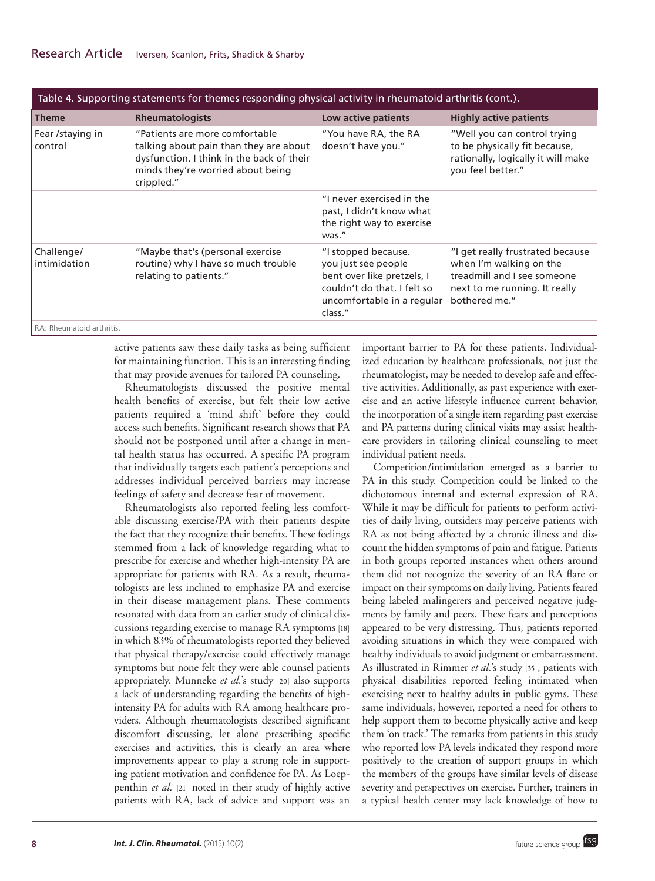| Table 4. Supporting statements for themes responding physical activity in rheumatoid arthritis (cont.). |                                                                                                                                                                          |                                                                                                                                                  |                                                                                                                                              |
|---------------------------------------------------------------------------------------------------------|--------------------------------------------------------------------------------------------------------------------------------------------------------------------------|--------------------------------------------------------------------------------------------------------------------------------------------------|----------------------------------------------------------------------------------------------------------------------------------------------|
| <b>Theme</b>                                                                                            | <b>Rheumatologists</b>                                                                                                                                                   | Low active patients                                                                                                                              | <b>Highly active patients</b>                                                                                                                |
| Fear /staying in<br>control                                                                             | "Patients are more comfortable<br>talking about pain than they are about<br>dysfunction. I think in the back of their<br>minds they're worried about being<br>crippled." | "You have RA, the RA<br>doesn't have you."                                                                                                       | "Well you can control trying<br>to be physically fit because,<br>rationally, logically it will make<br>you feel better."                     |
|                                                                                                         |                                                                                                                                                                          | "I never exercised in the<br>past, I didn't know what<br>the right way to exercise<br>was."                                                      |                                                                                                                                              |
| Challenge/<br>intimidation                                                                              | "Maybe that's (personal exercise<br>routine) why I have so much trouble<br>relating to patients."                                                                        | "I stopped because.<br>you just see people<br>bent over like pretzels, I<br>couldn't do that. I felt so<br>uncomfortable in a regular<br>class." | "I get really frustrated because<br>when I'm walking on the<br>treadmill and I see someone<br>next to me running. It really<br>bothered me." |
| RA: Rheumatoid arthritis.                                                                               |                                                                                                                                                                          |                                                                                                                                                  |                                                                                                                                              |

active patients saw these daily tasks as being sufficient for maintaining function. This is an interesting finding that may provide avenues for tailored PA counseling.

Rheumatologists discussed the positive mental health benefits of exercise, but felt their low active patients required a 'mind shift' before they could access such benefits. Significant research shows that PA should not be postponed until after a change in mental health status has occurred. A specific PA program that individually targets each patient's perceptions and addresses individual perceived barriers may increase feelings of safety and decrease fear of movement.

Rheumatologists also reported feeling less comfortable discussing exercise/PA with their patients despite the fact that they recognize their benefits. These feelings stemmed from a lack of knowledge regarding what to prescribe for exercise and whether high-intensity PA are appropriate for patients with RA. As a result, rheumatologists are less inclined to emphasize PA and exercise in their disease management plans. These comments resonated with data from an earlier study of clinical discussions regarding exercise to manage RA symptoms [18] in which 83% of rheumatologists reported they believed that physical therapy/exercise could effectively manage symptoms but none felt they were able counsel patients appropriately. Munneke *et al.*'s study [20] also supports a lack of understanding regarding the benefits of highintensity PA for adults with RA among healthcare providers. Although rheumatologists described significant discomfort discussing, let alone prescribing specific exercises and activities, this is clearly an area where improvements appear to play a strong role in supporting patient motivation and confidence for PA. As Loeppenthin *et al.* [21] noted in their study of highly active patients with RA, lack of advice and support was an

important barrier to PA for these patients. Individualized education by healthcare professionals, not just the rheumatologist, may be needed to develop safe and effective activities. Additionally, as past experience with exercise and an active lifestyle influence current behavior, the incorporation of a single item regarding past exercise and PA patterns during clinical visits may assist healthcare providers in tailoring clinical counseling to meet individual patient needs.

Competition/intimidation emerged as a barrier to PA in this study. Competition could be linked to the dichotomous internal and external expression of RA. While it may be difficult for patients to perform activities of daily living, outsiders may perceive patients with RA as not being affected by a chronic illness and discount the hidden symptoms of pain and fatigue. Patients in both groups reported instances when others around them did not recognize the severity of an RA flare or impact on their symptoms on daily living. Patients feared being labeled malingerers and perceived negative judgments by family and peers. These fears and perceptions appeared to be very distressing. Thus, patients reported avoiding situations in which they were compared with healthy individuals to avoid judgment or embarrassment. As illustrated in Rimmer *et al.*'s study [35], patients with physical disabilities reported feeling intimated when exercising next to healthy adults in public gyms. These same individuals, however, reported a need for others to help support them to become physically active and keep them 'on track.' The remarks from patients in this study who reported low PA levels indicated they respond more positively to the creation of support groups in which the members of the groups have similar levels of disease severity and perspectives on exercise. Further, trainers in a typical health center may lack knowledge of how to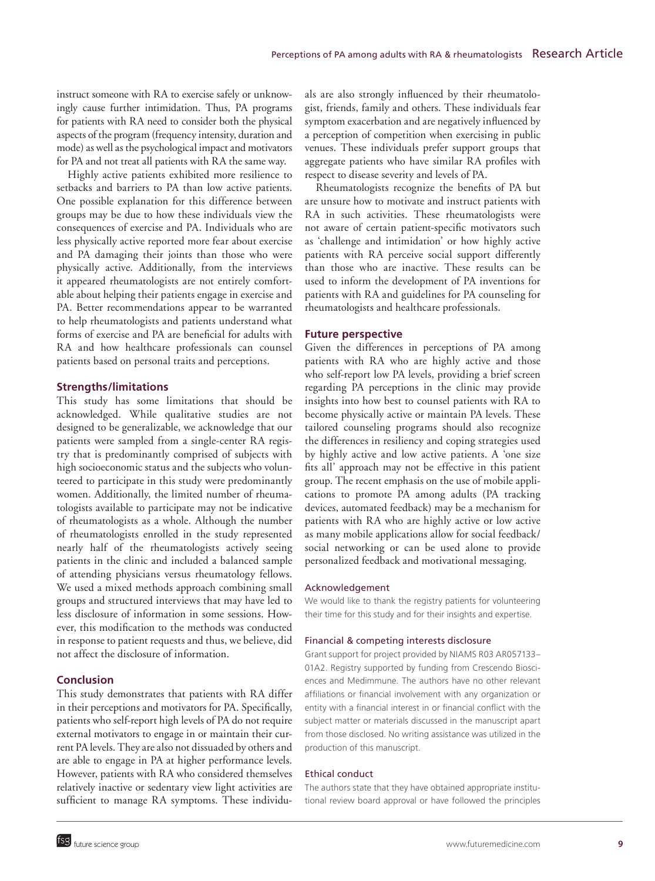instruct someone with RA to exercise safely or unknowingly cause further intimidation. Thus, PA programs for patients with RA need to consider both the physical aspects of the program (frequency intensity, duration and mode) as well as the psychological impact and motivators for PA and not treat all patients with RA the same way.

Highly active patients exhibited more resilience to setbacks and barriers to PA than low active patients. One possible explanation for this difference between groups may be due to how these individuals view the consequences of exercise and PA. Individuals who are less physically active reported more fear about exercise and PA damaging their joints than those who were physically active. Additionally, from the interviews it appeared rheumatologists are not entirely comfortable about helping their patients engage in exercise and PA. Better recommendations appear to be warranted to help rheumatologists and patients understand what forms of exercise and PA are beneficial for adults with RA and how healthcare professionals can counsel patients based on personal traits and perceptions.

# **Strengths/limitations**

This study has some limitations that should be acknowledged. While qualitative studies are not designed to be generalizable, we acknowledge that our patients were sampled from a single-center RA registry that is predominantly comprised of subjects with high socioeconomic status and the subjects who volunteered to participate in this study were predominantly women. Additionally, the limited number of rheumatologists available to participate may not be indicative of rheumatologists as a whole. Although the number of rheumatologists enrolled in the study represented nearly half of the rheumatologists actively seeing patients in the clinic and included a balanced sample of attending physicians versus rheumatology fellows. We used a mixed methods approach combining small groups and structured interviews that may have led to less disclosure of information in some sessions. However, this modification to the methods was conducted in response to patient requests and thus, we believe, did not affect the disclosure of information.

# **Conclusion**

This study demonstrates that patients with RA differ in their perceptions and motivators for PA. Specifically, patients who self-report high levels of PA do not require external motivators to engage in or maintain their current PA levels. They are also not dissuaded by others and are able to engage in PA at higher performance levels. However, patients with RA who considered themselves relatively inactive or sedentary view light activities are sufficient to manage RA symptoms. These individuals are also strongly influenced by their rheumatologist, friends, family and others. These individuals fear symptom exacerbation and are negatively influenced by a perception of competition when exercising in public venues. These individuals prefer support groups that aggregate patients who have similar RA profiles with respect to disease severity and levels of PA.

Rheumatologists recognize the benefits of PA but are unsure how to motivate and instruct patients with RA in such activities. These rheumatologists were not aware of certain patient-specific motivators such as 'challenge and intimidation' or how highly active patients with RA perceive social support differently than those who are inactive. These results can be used to inform the development of PA inventions for patients with RA and guidelines for PA counseling for rheumatologists and healthcare professionals.

# **Future perspective**

Given the differences in perceptions of PA among patients with RA who are highly active and those who self-report low PA levels, providing a brief screen regarding PA perceptions in the clinic may provide insights into how best to counsel patients with RA to become physically active or maintain PA levels. These tailored counseling programs should also recognize the differences in resiliency and coping strategies used by highly active and low active patients. A 'one size fits all' approach may not be effective in this patient group. The recent emphasis on the use of mobile applications to promote PA among adults (PA tracking devices, automated feedback) may be a mechanism for patients with RA who are highly active or low active as many mobile applications allow for social feedback/ social networking or can be used alone to provide personalized feedback and motivational messaging.

## Acknowledgement

We would like to thank the registry patients for volunteering their time for this study and for their insights and expertise.

#### Financial & competing interests disclosure

Grant support for project provided by NIAMS R03 AR057133– 01A2. Registry supported by funding from Crescendo Biosciences and Medimmune. The authors have no other relevant affiliations or financial involvement with any organization or entity with a financial interest in or financial conflict with the subject matter or materials discussed in the manuscript apart from those disclosed. No writing assistance was utilized in the production of this manuscript.

# Ethical conduct

The authors state that they have obtained appropriate institutional review board approval or have followed the principles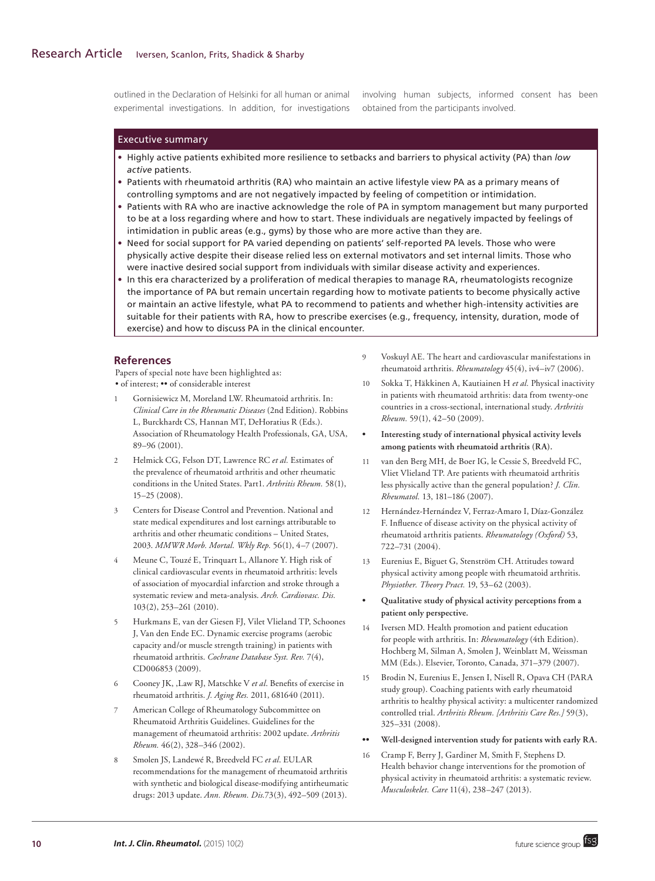outlined in the Declaration of Helsinki for all human or animal experimental investigations. In addition, for investigations

involving human subjects, informed consent has been obtained from the participants involved.

# Executive summary

- • Highly active patients exhibited more resilience to setbacks and barriers to physical activity (PA) than *low active* patients.
- • Patients with rheumatoid arthritis (RA) who maintain an active lifestyle view PA as a primary means of controlling symptoms and are not negatively impacted by feeling of competition or intimidation.
- • Patients with RA who are inactive acknowledge the role of PA in symptom management but many purported to be at a loss regarding where and how to start. These individuals are negatively impacted by feelings of intimidation in public areas (e.g., gyms) by those who are more active than they are.
- Need for social support for PA varied depending on patients' self-reported PA levels. Those who were physically active despite their disease relied less on external motivators and set internal limits. Those who were inactive desired social support from individuals with similar disease activity and experiences.
- • In this era characterized by a proliferation of medical therapies to manage RA, rheumatologists recognize the importance of PA but remain uncertain regarding how to motivate patients to become physically active or maintain an active lifestyle, what PA to recommend to patients and whether high-intensity activities are suitable for their patients with RA, how to prescribe exercises (e.g., frequency, intensity, duration, mode of exercise) and how to discuss PA in the clinical encounter.

# **References**

Papers of special note have been highlighted as: • of interest; •• of considerable interest

- Gornisiewicz M, Moreland LW. Rheumatoid arthritis. In: *Clinical Care in the Rheumatic Diseases* (2nd Edition). Robbins L, Burckhardt CS, Hannan MT, DeHoratius R (Eds.). Association of Rheumatology Health Professionals, GA, USA, 89–96 (2001).
- 2 Helmick CG, Felson DT, Lawrence RC *et al.* Estimates of the prevalence of rheumatoid arthritis and other rheumatic conditions in the United States. Part1. *Arthritis Rheum.* 58(1), 15–25 (2008).
- 3 Centers for Disease Control and Prevention. National and state medical expenditures and lost earnings attributable to arthritis and other rheumatic conditions – United States, 2003. *MMWR Morb. Mortal. Wkly Rep.* 56(1), 4–7 (2007).
- Meune C, Touzé E, Trinquart L, Allanore Y. High risk of clinical cardiovascular events in rheumatoid arthritis: levels of association of myocardial infarction and stroke through a systematic review and meta-analysis. *Arch. Cardiovasc. Dis.* 103(2), 253–261 (2010).
- 5 Hurkmans E, van der Giesen FJ, Vilet Vlieland TP, Schoones J, Van den Ende EC. Dynamic exercise programs (aerobic capacity and/or muscle strength training) in patients with rheumatoid arthritis. *Cochrane Database Syst. Rev.* 7(4), CD006853 (2009).
- 6 Cooney JK, ,Law RJ, Matschke V *et al*. Benefits of exercise in rheumatoid arthritis. *J. Aging Res.* 2011, 681640 (2011).
- 7 American College of Rheumatology Subcommittee on Rheumatoid Arthritis Guidelines. Guidelines for the management of rheumatoid arthritis: 2002 update. *Arthritis Rheum.* 46(2), 328–346 (2002).
- 8 Smolen JS, Landewé R, Breedveld FC *et al*. EULAR recommendations for the management of rheumatoid arthritis with synthetic and biological disease-modifying antirheumatic drugs: 2013 update. *Ann. Rheum. Dis.*73(3), 492–509 (2013).
- 9 Voskuyl AE. The heart and cardiovascular manifestations in rheumatoid arthritis. *Rheumatology* 45(4), iv4–iv7 (2006).
- 10 Sokka T, Häkkinen A, Kautiainen H *et al.* Physical inactivity in patients with rheumatoid arthritis: data from twenty-one countries in a cross-sectional, international study. *Arthritis Rheum.* 59(1), 42–50 (2009).
- **• Interesting study of international physical activity levels among patients with rheumatoid arthritis (RA).**
- 11 van den Berg MH, de Boer IG, le Cessie S, Breedveld FC, Vliet Vlieland TP. Are patients with rheumatoid arthritis less physically active than the general population? *J. Clin. Rheumatol.* 13, 181–186 (2007).
- 12 Hernández-Hernández V, Ferraz-Amaro I, Díaz-González F. Influence of disease activity on the physical activity of rheumatoid arthritis patients. *Rheumatology (Oxford)* 53, 722–731 (2004).
- 13 Eurenius E, Biguet G, Stenström CH. Attitudes toward physical activity among people with rheumatoid arthritis. *Physiother. Theory Pract.* 19, 53–62 (2003).
- **• Qualitative study of physical activity perceptions from a patient only perspective.**
- 14 Iversen MD. Health promotion and patient education for people with arthritis. In: *Rheumatology* (4th Edition). Hochberg M, Silman A, Smolen J, Weinblatt M, Weissman MM (Eds.). Elsevier, Toronto, Canada, 371–379 (2007).
- 15 Brodin N, Eurenius E, Jensen I, Nisell R, Opava CH (PARA study group). Coaching patients with early rheumatoid arthritis to healthy physical activity: a multicenter randomized controlled trial. *Arthritis Rheum. [Arthritis Care Res.]* 59(3), 325–331 (2008).
- **•• Well-designed intervention study for patients with early RA.**
- 16 Cramp F, Berry J, Gardiner M, Smith F, Stephens D. Health behavior change interventions for the promotion of physical activity in rheumatoid arthritis: a systematic review. *Musculoskelet. Care* 11(4), 238–247 (2013).